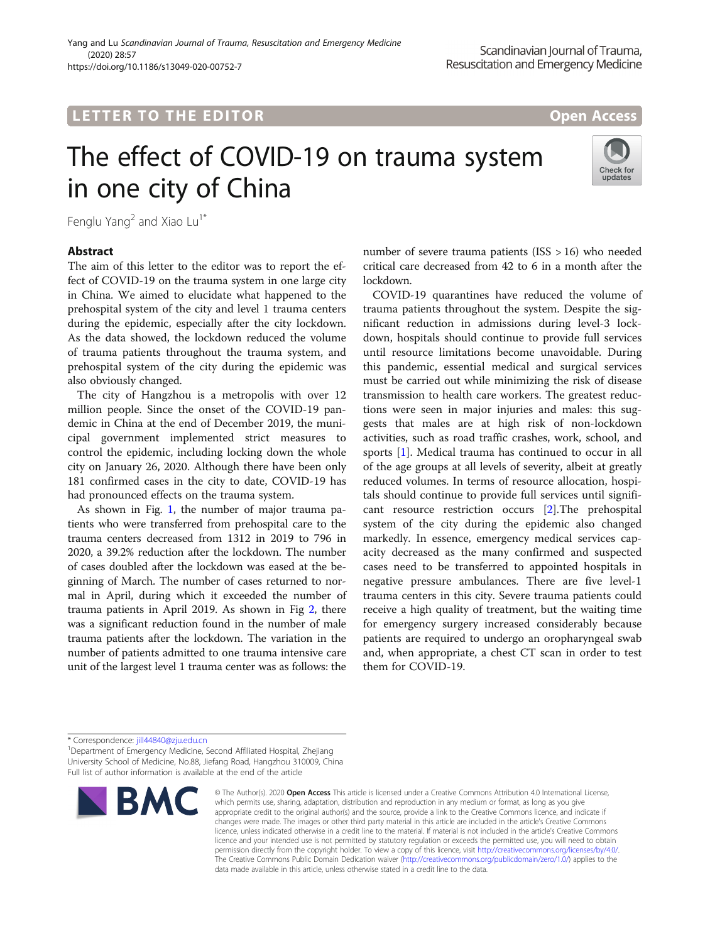## L E T T ER TOR OPEN ACCESS TO THE EXPLORATION OF THE EXPLORATION OF THE EXPLORATION OF THE EXPLORATION OF THE

# The effect of COVID-19 on trauma system in one city of China



Fenglu Yang<sup>2</sup> and Xiao Lu<sup>1\*</sup>

## **Abstract**

The aim of this letter to the editor was to report the effect of COVID-19 on the trauma system in one large city in China. We aimed to elucidate what happened to the prehospital system of the city and level 1 trauma centers during the epidemic, especially after the city lockdown. As the data showed, the lockdown reduced the volume of trauma patients throughout the trauma system, and prehospital system of the city during the epidemic was also obviously changed.

The city of Hangzhou is a metropolis with over 12 million people. Since the onset of the COVID-19 pandemic in China at the end of December 2019, the municipal government implemented strict measures to control the epidemic, including locking down the whole city on January 26, 2020. Although there have been only 181 confirmed cases in the city to date, COVID-19 has had pronounced effects on the trauma system.

As shown in Fig. [1](#page-1-0), the number of major trauma patients who were transferred from prehospital care to the trauma centers decreased from 1312 in 2019 to 796 in 2020, a 39.2% reduction after the lockdown. The number of cases doubled after the lockdown was eased at the beginning of March. The number of cases returned to normal in April, during which it exceeded the number of trauma patients in April 2019. As shown in Fig [2,](#page-1-0) there was a significant reduction found in the number of male trauma patients after the lockdown. The variation in the number of patients admitted to one trauma intensive care unit of the largest level 1 trauma center was as follows: the

number of severe trauma patients (ISS > 16) who needed critical care decreased from 42 to 6 in a month after the lockdown.

COVID-19 quarantines have reduced the volume of trauma patients throughout the system. Despite the significant reduction in admissions during level-3 lockdown, hospitals should continue to provide full services until resource limitations become unavoidable. During this pandemic, essential medical and surgical services must be carried out while minimizing the risk of disease transmission to health care workers. The greatest reductions were seen in major injuries and males: this suggests that males are at high risk of non-lockdown activities, such as road traffic crashes, work, school, and sports [\[1\]](#page-2-0). Medical trauma has continued to occur in all of the age groups at all levels of severity, albeit at greatly reduced volumes. In terms of resource allocation, hospitals should continue to provide full services until significant resource restriction occurs [\[2\]](#page-2-0).The prehospital system of the city during the epidemic also changed markedly. In essence, emergency medical services capacity decreased as the many confirmed and suspected cases need to be transferred to appointed hospitals in negative pressure ambulances. There are five level-1 trauma centers in this city. Severe trauma patients could receive a high quality of treatment, but the waiting time for emergency surgery increased considerably because patients are required to undergo an oropharyngeal swab and, when appropriate, a chest CT scan in order to test them for COVID-19.

<sup>&</sup>lt;sup>1</sup> Department of Emergency Medicine, Second Affiliated Hospital, Zhejiang University School of Medicine, No.88, Jiefang Road, Hangzhou 310009, China Full list of author information is available at the end of the article



<sup>©</sup> The Author(s), 2020 **Open Access** This article is licensed under a Creative Commons Attribution 4.0 International License, which permits use, sharing, adaptation, distribution and reproduction in any medium or format, as long as you give appropriate credit to the original author(s) and the source, provide a link to the Creative Commons licence, and indicate if changes were made. The images or other third party material in this article are included in the article's Creative Commons licence, unless indicated otherwise in a credit line to the material. If material is not included in the article's Creative Commons licence and your intended use is not permitted by statutory regulation or exceeds the permitted use, you will need to obtain permission directly from the copyright holder. To view a copy of this licence, visit [http://creativecommons.org/licenses/by/4.0/.](http://creativecommons.org/licenses/by/4.0/) The Creative Commons Public Domain Dedication waiver [\(http://creativecommons.org/publicdomain/zero/1.0/](http://creativecommons.org/publicdomain/zero/1.0/)) applies to the data made available in this article, unless otherwise stated in a credit line to the data.

<sup>\*</sup> Correspondence: [jill44840@zju.edu.cn](mailto:jill44840@zju.edu.cn) <sup>1</sup>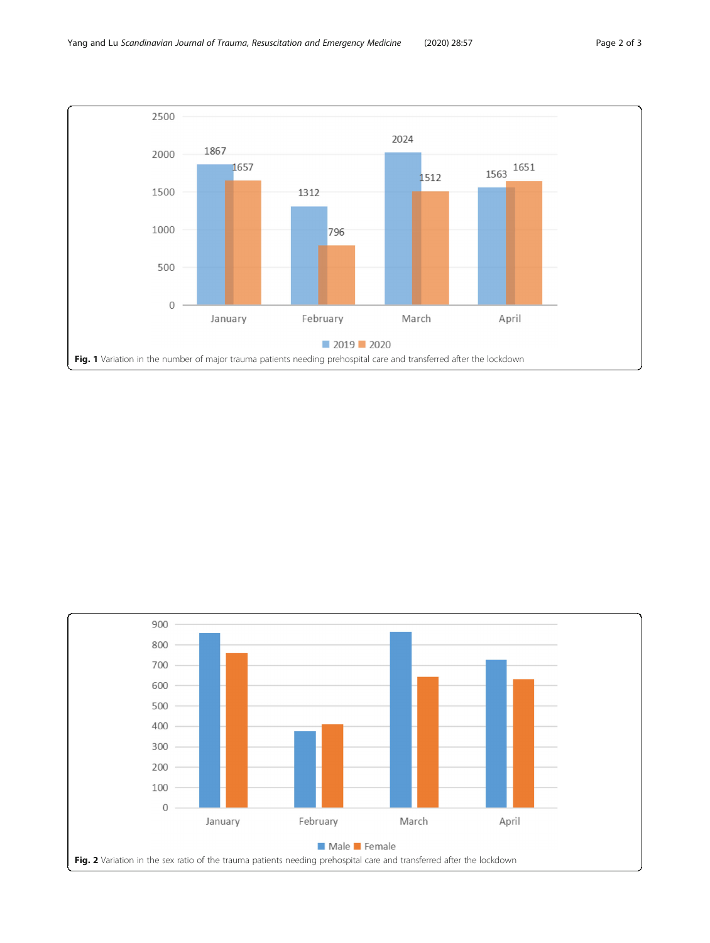<span id="page-1-0"></span>